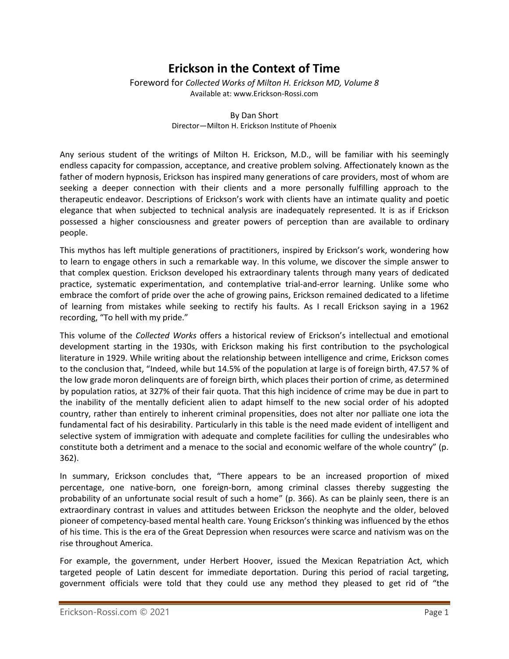## **Erickson in the Context of Time**

Foreword for *Collected Works of Milton H. Erickson MD, Volume 8* Available at: www.Erickson-Rossi.com

> By Dan Short Director—Milton H. Erickson Institute of Phoenix

Any serious student of the writings of Milton H. Erickson, M.D., will be familiar with his seemingly endless capacity for compassion, acceptance, and creative problem solving. Affectionately known as the father of modern hypnosis, Erickson has inspired many generations of care providers, most of whom are seeking a deeper connection with their clients and a more personally fulfilling approach to the therapeutic endeavor. Descriptions of Erickson's work with clients have an intimate quality and poetic elegance that when subjected to technical analysis are inadequately represented. It is as if Erickson possessed a higher consciousness and greater powers of perception than are available to ordinary people.

This mythos has left multiple generations of practitioners, inspired by Erickson's work, wondering how to learn to engage others in such a remarkable way. In this volume, we discover the simple answer to that complex question. Erickson developed his extraordinary talents through many years of dedicated practice, systematic experimentation, and contemplative trial-and-error learning. Unlike some who embrace the comfort of pride over the ache of growing pains, Erickson remained dedicated to a lifetime of learning from mistakes while seeking to rectify his faults. As I recall Erickson saying in a 1962 recording, "To hell with my pride."

This volume of the *Collected Works* offers a historical review of Erickson's intellectual and emotional development starting in the 1930s, with Erickson making his first contribution to the psychological literature in 1929. While writing about the relationship between intelligence and crime, Erickson comes to the conclusion that, "Indeed, while but 14.5% of the population at large is of foreign birth, 47.57 % of the low grade moron delinquents are of foreign birth, which places their portion of crime, as determined by population ratios, at 327% of their fair quota. That this high incidence of crime may be due in part to the inability of the mentally deficient alien to adapt himself to the new social order of his adopted country, rather than entirely to inherent criminal propensities, does not alter nor palliate one iota the fundamental fact of his desirability. Particularly in this table is the need made evident of intelligent and selective system of immigration with adequate and complete facilities for culling the undesirables who constitute both a detriment and a menace to the social and economic welfare of the whole country" (p. 362).

In summary, Erickson concludes that, "There appears to be an increased proportion of mixed percentage, one native-born, one foreign-born, among criminal classes thereby suggesting the probability of an unfortunate social result of such a home" (p. 366). As can be plainly seen, there is an extraordinary contrast in values and attitudes between Erickson the neophyte and the older, beloved pioneer of competency-based mental health care. Young Erickson's thinking was influenced by the ethos of his time. This is the era of the Great Depression when resources were scarce and nativism was on the rise throughout America.

For example, the government, under Herbert Hoover, issued the Mexican Repatriation Act, which targeted people of Latin descent for immediate deportation. During this period of racial targeting, government officials were told that they could use any method they pleased to get rid of "the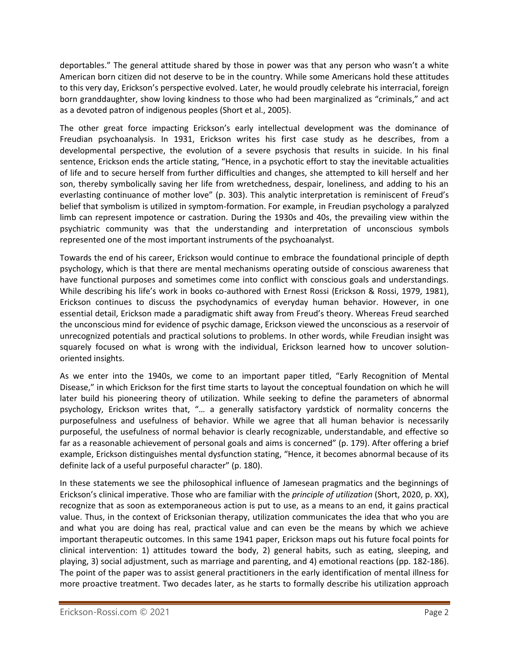deportables." The general attitude shared by those in power was that any person who wasn't a white American born citizen did not deserve to be in the country. While some Americans hold these attitudes to this very day, Erickson's perspective evolved. Later, he would proudly celebrate his interracial, foreign born granddaughter, show loving kindness to those who had been marginalized as "criminals," and act as a devoted patron of indigenous peoples (Short et al., 2005).

The other great force impacting Erickson's early intellectual development was the dominance of Freudian psychoanalysis. In 1931, Erickson writes his first case study as he describes, from a developmental perspective, the evolution of a severe psychosis that results in suicide. In his final sentence, Erickson ends the article stating, "Hence, in a psychotic effort to stay the inevitable actualities of life and to secure herself from further difficulties and changes, she attempted to kill herself and her son, thereby symbolically saving her life from wretchedness, despair, loneliness, and adding to his an everlasting continuance of mother love" (p. 303). This analytic interpretation is reminiscent of Freud's belief that symbolism is utilized in symptom-formation. For example, in Freudian psychology a paralyzed limb can represent impotence or castration. During the 1930s and 40s, the prevailing view within the psychiatric community was that the understanding and interpretation of unconscious symbols represented one of the most important instruments of the psychoanalyst.

Towards the end of his career, Erickson would continue to embrace the foundational principle of depth psychology, which is that there are mental mechanisms operating outside of conscious awareness that have functional purposes and sometimes come into conflict with conscious goals and understandings. While describing his life's work in books co-authored with Ernest Rossi (Erickson & Rossi, 1979, 1981), Erickson continues to discuss the psychodynamics of everyday human behavior. However, in one essential detail, Erickson made a paradigmatic shift away from Freud's theory. Whereas Freud searched the unconscious mind for evidence of psychic damage, Erickson viewed the unconscious as a reservoir of unrecognized potentials and practical solutions to problems. In other words, while Freudian insight was squarely focused on what is wrong with the individual, Erickson learned how to uncover solutionoriented insights.

As we enter into the 1940s, we come to an important paper titled, "Early Recognition of Mental Disease," in which Erickson for the first time starts to layout the conceptual foundation on which he will later build his pioneering theory of utilization. While seeking to define the parameters of abnormal psychology, Erickson writes that, "… a generally satisfactory yardstick of normality concerns the purposefulness and usefulness of behavior. While we agree that all human behavior is necessarily purposeful, the usefulness of normal behavior is clearly recognizable, understandable, and effective so far as a reasonable achievement of personal goals and aims is concerned" (p. 179). After offering a brief example, Erickson distinguishes mental dysfunction stating, "Hence, it becomes abnormal because of its definite lack of a useful purposeful character" (p. 180).

In these statements we see the philosophical influence of Jamesean pragmatics and the beginnings of Erickson's clinical imperative. Those who are familiar with the *principle of utilization* (Short, 2020, p. XX), recognize that as soon as extemporaneous action is put to use, as a means to an end, it gains practical value. Thus, in the context of Ericksonian therapy, utilization communicates the idea that who you are and what you are doing has real, practical value and can even be the means by which we achieve important therapeutic outcomes. In this same 1941 paper, Erickson maps out his future focal points for clinical intervention: 1) attitudes toward the body, 2) general habits, such as eating, sleeping, and playing, 3) social adjustment, such as marriage and parenting, and 4) emotional reactions (pp. 182-186). The point of the paper was to assist general practitioners in the early identification of mental illness for more proactive treatment. Two decades later, as he starts to formally describe his utilization approach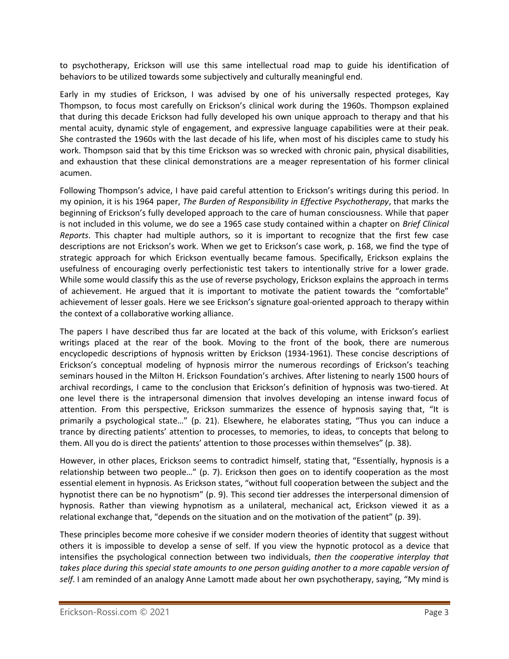to psychotherapy, Erickson will use this same intellectual road map to guide his identification of behaviors to be utilized towards some subjectively and culturally meaningful end.

Early in my studies of Erickson, I was advised by one of his universally respected proteges, Kay Thompson, to focus most carefully on Erickson's clinical work during the 1960s. Thompson explained that during this decade Erickson had fully developed his own unique approach to therapy and that his mental acuity, dynamic style of engagement, and expressive language capabilities were at their peak. She contrasted the 1960s with the last decade of his life, when most of his disciples came to study his work. Thompson said that by this time Erickson was so wrecked with chronic pain, physical disabilities, and exhaustion that these clinical demonstrations are a meager representation of his former clinical acumen.

Following Thompson's advice, I have paid careful attention to Erickson's writings during this period. In my opinion, it is his 1964 paper, *The Burden of Responsibility in Effective Psychotherapy*, that marks the beginning of Erickson's fully developed approach to the care of human consciousness. While that paper is not included in this volume, we do see a 1965 case study contained within a chapter on *Brief Clinical Reports*. This chapter had multiple authors, so it is important to recognize that the first few case descriptions are not Erickson's work. When we get to Erickson's case work, p. 168, we find the type of strategic approach for which Erickson eventually became famous. Specifically, Erickson explains the usefulness of encouraging overly perfectionistic test takers to intentionally strive for a lower grade. While some would classify this as the use of reverse psychology, Erickson explains the approach in terms of achievement. He argued that it is important to motivate the patient towards the "comfortable" achievement of lesser goals. Here we see Erickson's signature goal-oriented approach to therapy within the context of a collaborative working alliance.

The papers I have described thus far are located at the back of this volume, with Erickson's earliest writings placed at the rear of the book. Moving to the front of the book, there are numerous encyclopedic descriptions of hypnosis written by Erickson (1934-1961). These concise descriptions of Erickson's conceptual modeling of hypnosis mirror the numerous recordings of Erickson's teaching seminars housed in the Milton H. Erickson Foundation's archives. After listening to nearly 1500 hours of archival recordings, I came to the conclusion that Erickson's definition of hypnosis was two-tiered. At one level there is the intrapersonal dimension that involves developing an intense inward focus of attention. From this perspective, Erickson summarizes the essence of hypnosis saying that, "It is primarily a psychological state…" (p. 21). Elsewhere, he elaborates stating, "Thus you can induce a trance by directing patients' attention to processes, to memories, to ideas, to concepts that belong to them. All you do is direct the patients' attention to those processes within themselves" (p. 38).

However, in other places, Erickson seems to contradict himself, stating that, "Essentially, hypnosis is a relationship between two people…" (p. 7). Erickson then goes on to identify cooperation as the most essential element in hypnosis. As Erickson states, "without full cooperation between the subject and the hypnotist there can be no hypnotism" (p. 9). This second tier addresses the interpersonal dimension of hypnosis. Rather than viewing hypnotism as a unilateral, mechanical act, Erickson viewed it as a relational exchange that, "depends on the situation and on the motivation of the patient" (p. 39).

These principles become more cohesive if we consider modern theories of identity that suggest without others it is impossible to develop a sense of self. If you view the hypnotic protocol as a device that intensifies the psychological connection between two individuals, *then the cooperative interplay that takes place during this special state amounts to one person guiding another to a more capable version of self*. I am reminded of an analogy Anne Lamott made about her own psychotherapy, saying, "My mind is